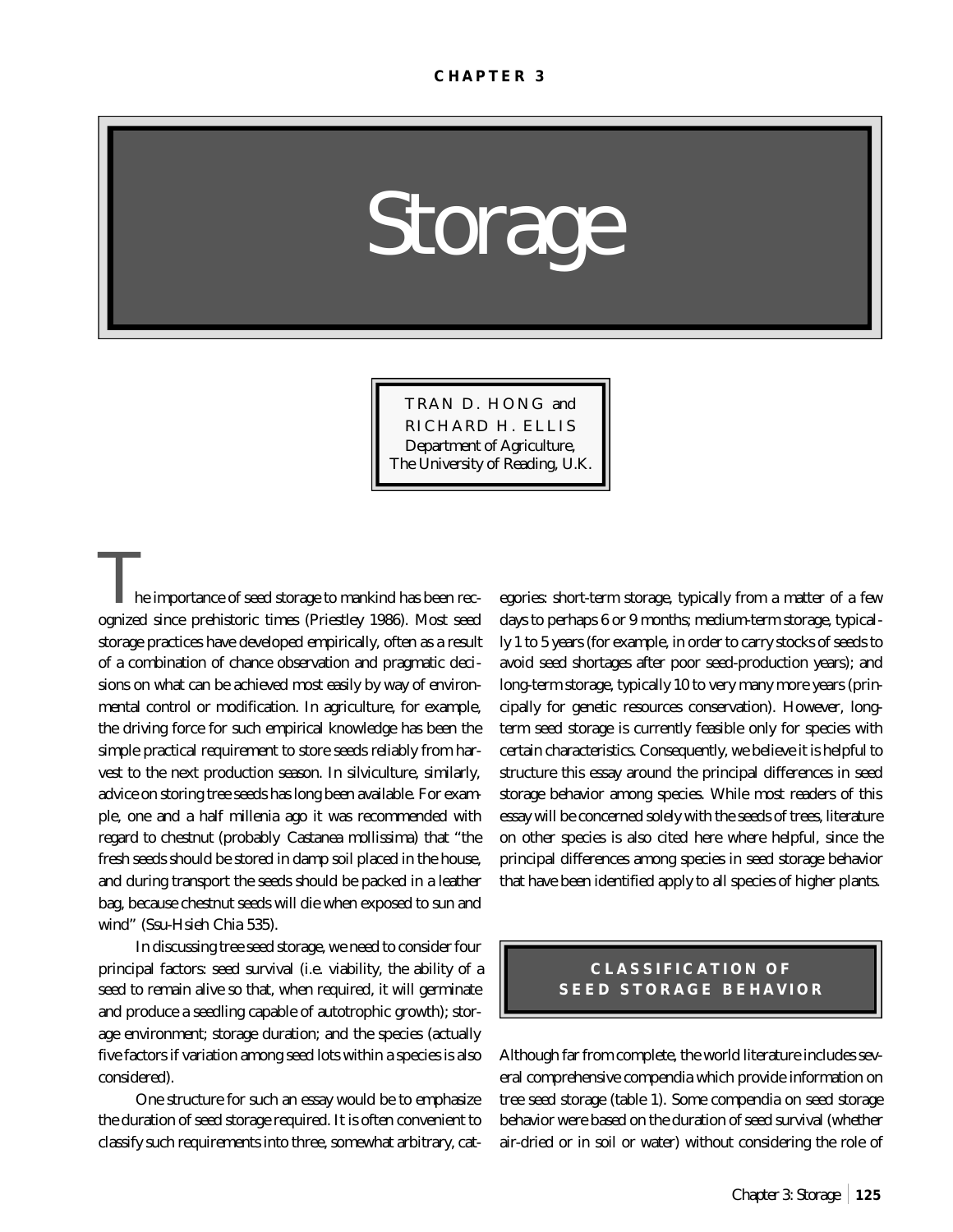*Storage*

TRAN D. HONG and RICHARD H. ELLIS Department of Agriculture, The University of Reading, U.K.

he importance of seed storage to mankind has been recognized since prehistoric times (Priestley 1986). Most seed storage practices have developed empirically, often as a result of a combination of chance observation and pragmatic decisions on what can be achieved most easily by way of environmental control or modification. In agriculture, for example, the driving force for such empirical knowledge has been the simple practical requirement to store seeds reliably from harvest to the next production season. In silviculture, similarly, advice on storing tree seeds has long been available. For example, one and a half millenia ago it was recommended with regard to chestnut (probably *Castanea mollissima*) that "the fresh seeds should be stored in damp soil placed in the house, and during transport the seeds should be packed in a leather bag, because chestnut seeds will die when exposed to sun and wind" (Ssu-Hsieh Chia 535).

In discussing tree seed storage, we need to consider four principal factors: seed survival (i.e. viability, the ability of a seed to remain alive so that, when required, it will germinate and produce a seedling capable of autotrophic growth); storage environment; storage duration; and the species (actually five factors if variation among seed lots within a species is also considered).

One structure for such an essay would be to emphasize the duration of seed storage required. It is often convenient to classify such requirements into three, somewhat arbitrary, categories: short-term storage, typically from a matter of a few days to perhaps 6 or 9 months; medium-term storage, typically 1 to 5 years (for example, in order to carry stocks of seeds to avoid seed shortages after poor seed-production years); and long-term storage, typically 10 to very many more years (principally for genetic resources conservation). However, longterm seed storage is currently feasible only for species with certain characteristics. Consequently, we believe it is helpful to structure this essay around the principal differences in seed storage behavior among species. While most readers of this essay will be concerned solely with the seeds of trees, literature on other species is also cited here where helpful, since the principal differences among species in seed storage behavior that have been identified apply to all species of higher plants.

## **CLASSIFICATION OF SEED STORAGE BEHAVIOR**

Although far from complete, the world literature includes several comprehensive compendia which provide information on tree seed storage (table 1). Some compendia on seed storage behavior were based on the duration of seed survival (whether air-dried or in soil or water) without considering the role of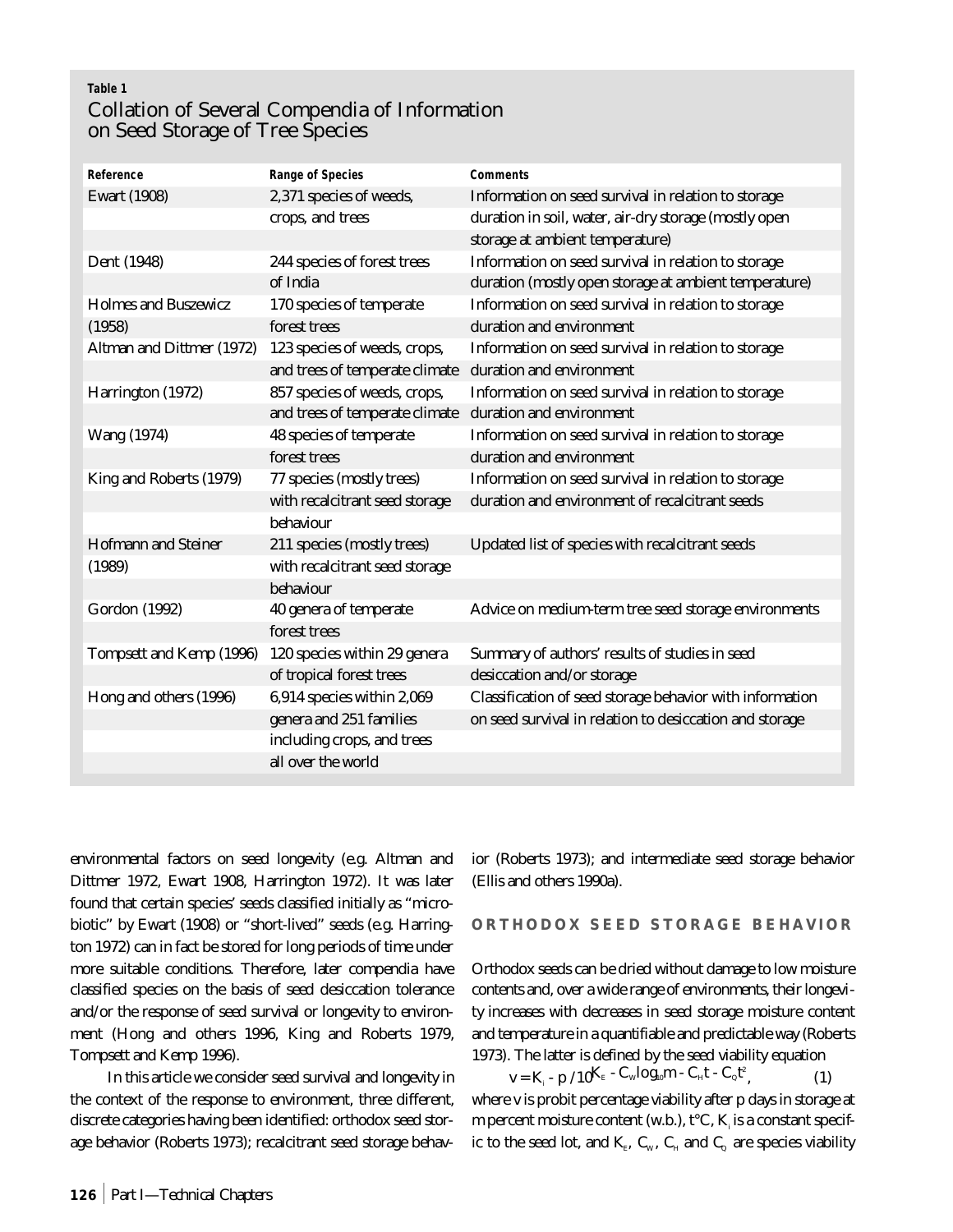# **Table 1** Collation of Several Compendia of Information on Seed Storage of Tree Species

| Reference                   | <b>Range of Species</b>        | <b>Comments</b>                                          |
|-----------------------------|--------------------------------|----------------------------------------------------------|
| <b>Ewart</b> (1908)         | 2,371 species of weeds,        | Information on seed survival in relation to storage      |
|                             | crops, and trees               | duration in soil, water, air-dry storage (mostly open    |
|                             |                                | storage at ambient temperature)                          |
| Dent (1948)                 | 244 species of forest trees    | Information on seed survival in relation to storage      |
|                             | of India                       | duration (mostly open storage at ambient temperature)    |
| <b>Holmes and Buszewicz</b> | 170 species of temperate       | Information on seed survival in relation to storage      |
| (1958)                      | forest trees                   | duration and environment                                 |
| Altman and Dittmer (1972)   | 123 species of weeds, crops,   | Information on seed survival in relation to storage      |
|                             | and trees of temperate climate | duration and environment                                 |
| Harrington (1972)           | 857 species of weeds, crops,   | Information on seed survival in relation to storage      |
|                             | and trees of temperate climate | duration and environment                                 |
| <b>Wang (1974)</b>          | 48 species of temperate        | Information on seed survival in relation to storage      |
|                             | forest trees                   | duration and environment                                 |
| King and Roberts (1979)     | 77 species (mostly trees)      | Information on seed survival in relation to storage      |
|                             | with recalcitrant seed storage | duration and environment of recalcitrant seeds           |
|                             | behaviour                      |                                                          |
| <b>Hofmann and Steiner</b>  | 211 species (mostly trees)     | Updated list of species with recalcitrant seeds          |
| (1989)                      | with recalcitrant seed storage |                                                          |
|                             | behaviour                      |                                                          |
| <b>Gordon</b> (1992)        | 40 genera of temperate         | Advice on medium-term tree seed storage environments     |
|                             | forest trees                   |                                                          |
| Tompsett and Kemp (1996)    | 120 species within 29 genera   | Summary of authors' results of studies in seed           |
|                             | of tropical forest trees       | desiccation and/or storage                               |
| Hong and others (1996)      | 6,914 species within 2,069     | Classification of seed storage behavior with information |
|                             | genera and 251 families        | on seed survival in relation to desiccation and storage  |
|                             | including crops, and trees     |                                                          |
|                             | all over the world             |                                                          |
|                             |                                |                                                          |

environmental factors on seed longevity (e.g. Altman and Dittmer 1972, Ewart 1908, Harrington 1972). It was later found that certain species' seeds classified initially as "microbiotic" by Ewart (1908) or "short-lived" seeds (e.g. Harrington 1972) can in fact be stored for long periods of time under more suitable conditions. Therefore, later compendia have classified species on the basis of seed desiccation tolerance and/or the response of seed survival or longevity to environment (Hong and others 1996, King and Roberts 1979, Tompsett and Kemp 1996).

In this article we consider seed survival and longevity in the context of the response to environment, three different, discrete categories having been identified: orthodox seed storage behavior (Roberts 1973); recalcitrant seed storage behavior (Roberts 1973); and intermediate seed storage behavior (Ellis and others 1990a).

#### **ORTHODOX SEED STORAGE BEHAVIOR**

Orthodox seeds can be dried without damage to low moisture contents and, over a wide range of environments, their longevity increases with decreases in seed storage moisture content and temperature in a quantifiable and predictable way (Roberts 1973). The latter is defined by the seed viability equation

$$
\mathbf{v} = \mathbf{K}_{i} - \mathbf{p} / 10^{\mathbf{K}_{E}} - \mathbf{C}_{w} \log_{10} m - \mathbf{C}_{H} t - \mathbf{C}_{Q} t^{2}, \qquad (1)
$$

where v is probit percentage viability after p days in storage at m percent moisture content (w.b.),  $t^{\circ}C$ ,  $K_{\shortmid}$  is a constant specific to the seed lot, and  $\text{K}_{_{\text{E}}},$   $\text{C}_{_{\text{W}}},$   $\text{C}_{_{\text{H}}}$  and  $\text{C}_{_{\text{Q}}}$  are species viability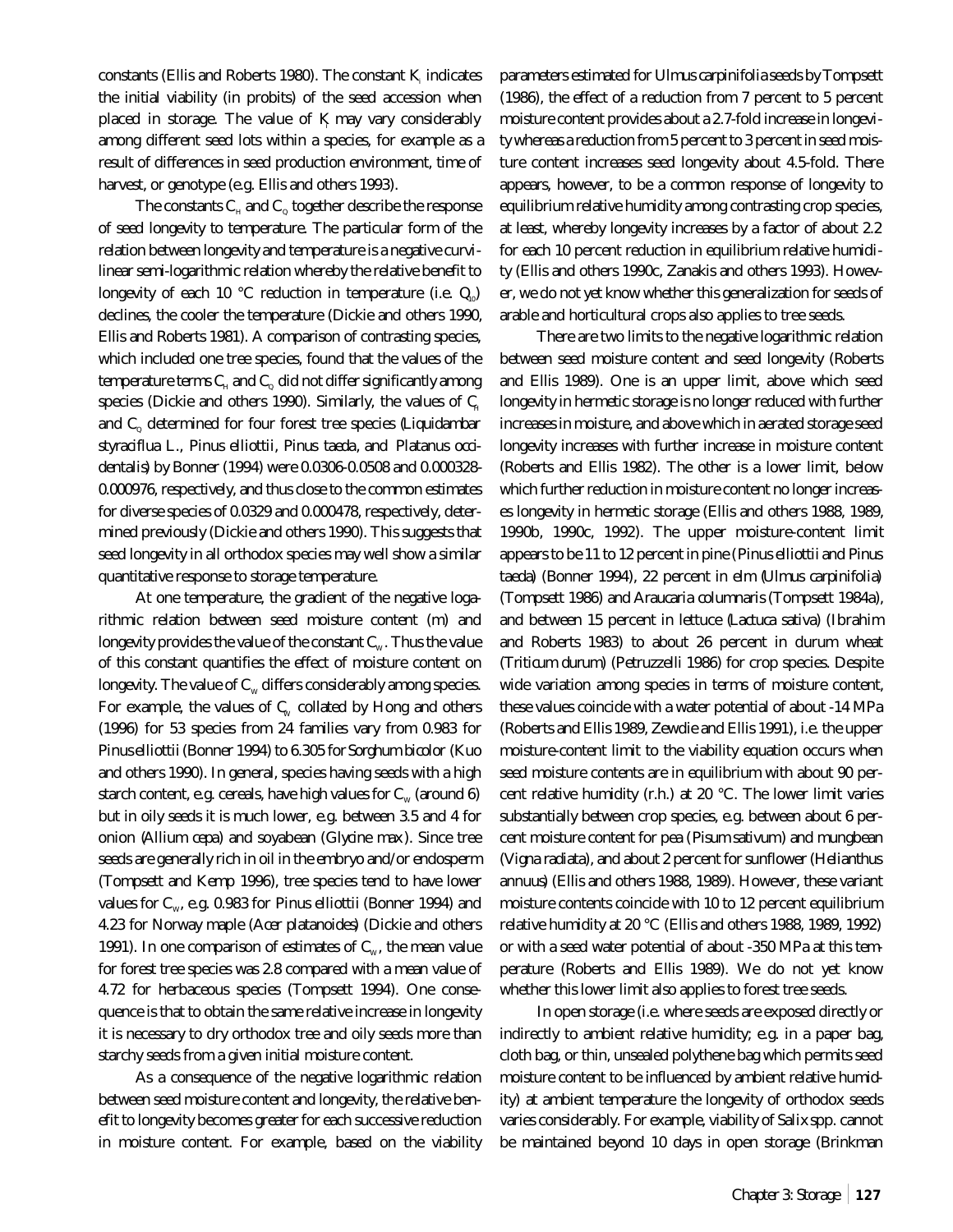constants (Ellis and Roberts 1980). The constant K indicates the initial viability (in probits) of the seed accession when placed in storage. The value of K may vary considerably among different seed lots within a species, for example as a result of differences in seed production environment, time of harvest, or genotype (e.g. Ellis and others 1993).

The constants  $\mathbf{C}_{\text{\tiny H}}$  and  $\mathbf{C}_{\text{\tiny Q}}$  together describe the response of seed longevity to temperature. The particular form of the relation between longevity and temperature is a negative curvilinear semi-logarithmic relation whereby the relative benefit to longevity of each 10  $^{\circ}$ C reduction in temperature (i.e.  $Q_{0}$ ) declines, the cooler the temperature (Dickie and others 1990, Ellis and Roberts 1981). A comparison of contrasting species, which included one tree species, found that the values of the temperature terms  $\mathsf{C}_\text{\tiny H}$  and  $\mathsf{C}_\text{\tiny Q}$  did not differ significantly among species (Dickie and others 1990). Similarly, the values of  $C_{H}$ and C<sub>o</sub> determined for four forest tree species (*Liquidambar styraciflua* L., *Pinus elliottii*, *Pinus taeda*, and *Platanus occidentalis*) by Bonner (1994) were 0.0306-0.0508 and 0.000328- 0.000976, respectively, and thus close to the common estimates for diverse species of 0.0329 and 0.000478, respectively, determined previously (Dickie and others 1990). This suggests that seed longevity in all orthodox species may well show a similar quantitative response to storage temperature.

At one temperature, the gradient of the negative logarithmic relation between seed moisture content (m) and longevity provides the value of the constant  $C_w$ . Thus the value of this constant quantifies the effect of moisture content on longevity. The value of  $C_w$  differs considerably among species. For example, the values of  $C_w$  collated by Hong and others (1996) for 53 species from 24 families vary from 0.983 for *Pinus elliottii*(Bonner 1994) to 6.305 for *Sorghum bicolor* (Kuo and others 1990). In general, species having seeds with a high starch content, e.g. cereals, have high values for  $C_w$  (around 6) but in oily seeds it is much lower, e.g. between 3.5 and 4 for onion (*Allium cepa*) and soyabean (*Glycine max* ). Since tree seeds are generally rich in oil in the embryo and/or endosperm (Tompsett and Kemp 1996), tree species tend to have lower values for C<sub>w</sub>, e.g. 0.983 for *Pinus elliottii* (Bonner 1994) and 4.23 for Norway maple (*Acer platanoides*) (Dickie and others 1991). In one comparison of estimates of  $C_w$ , the mean value for forest tree species was 2.8 compared with a mean value of 4.72 for herbaceous species (Tompsett 1994). One consequence is that to obtain the same relative increase in longevity it is necessary to dry orthodox tree and oily seeds more than starchy seeds from a given initial moisture content.

As a consequence of the negative logarithmic relation between seed moisture content and longevity, the relative benefit to longevity becomes greater for each successive reduction in moisture content. For example, based on the viability

parameters estimated for *Ulmus carpinifolia* seeds by Tompsett (1986), the effect of a reduction from 7 percent to 5 percent moisture content provides about a 2.7-fold increase in longevity whereas a reduction from 5 percent to 3 percent in seed moisture content increases seed longevity about 4.5-fold. There appears, however, to be a common response of longevity to equilibrium relative humidity among contrasting crop species, at least, whereby longevity increases by a factor of about 2.2 for each 10 percent reduction in equilibrium relative humidity (Ellis and others 1990c, Zanakis and others 1993). However, we do not yet know whether this generalization for seeds of arable and horticultural crops also applies to tree seeds.

There are two limits to the negative logarithmic relation between seed moisture content and seed longevity (Roberts and Ellis 1989). One is an upper limit, above which seed longevity in hermetic storage is no longer reduced with further increases in moisture, and above which in aerated storage seed longevity increases with further increase in moisture content (Roberts and Ellis 1982). The other is a lower limit, below which further reduction in moisture content no longer increases longevity in hermetic storage (Ellis and others 1988, 1989, 1990b, 1990c, 1992). The upper moisture-content limit appears to be 11 to 12 percent in pine (*Pinus elliottii* and *Pinus taeda*) (Bonner 1994), 22 percent in elm (*Ulmus carpinifolia*) (Tompsett 1986) and *Araucaria columnaris* (Tompsett 1984a), and between 15 percent in lettuce (*Lactuca sativa*) (Ibrahim and Roberts 1983) to about 26 percent in durum wheat (*Triticum durum*) (Petruzzelli 1986) for crop species. Despite wide variation among species in terms of moisture content, these values coincide with a water potential of about -14 MPa (Roberts and Ellis 1989, Zewdie and Ellis 1991), i.e. the upper moisture-content limit to the viability equation occurs when seed moisture contents are in equilibrium with about 90 percent relative humidity (r.h.) at 20 °C. The lower limit varies substantially between crop species, e.g. between about 6 percent moisture content for pea (*Pisum sativum*) and mungbean (*Vigna radiata*), and about 2 percent for sunflower (*Helianthus annuus*) (Ellis and others 1988, 1989). However, these variant moisture contents coincide with 10 to 12 percent equilibrium relative humidity at 20 °C (Ellis and others 1988, 1989, 1992) or with a seed water potential of about -350 MPa at this temperature (Roberts and Ellis 1989). We do not yet know whether this lower limit also applies to forest tree seeds.

In open storage (i.e. where seeds are exposed directly or indirectly to ambient relative humidity; e.g. in a paper bag, cloth bag, or thin, unsealed polythene bag which permits seed moisture content to be influenced by ambient relative humidity) at ambient temperature the longevity of orthodox seeds varies considerably. For example, viability of *Salix* spp. cannot be maintained beyond 10 days in open storage (Brinkman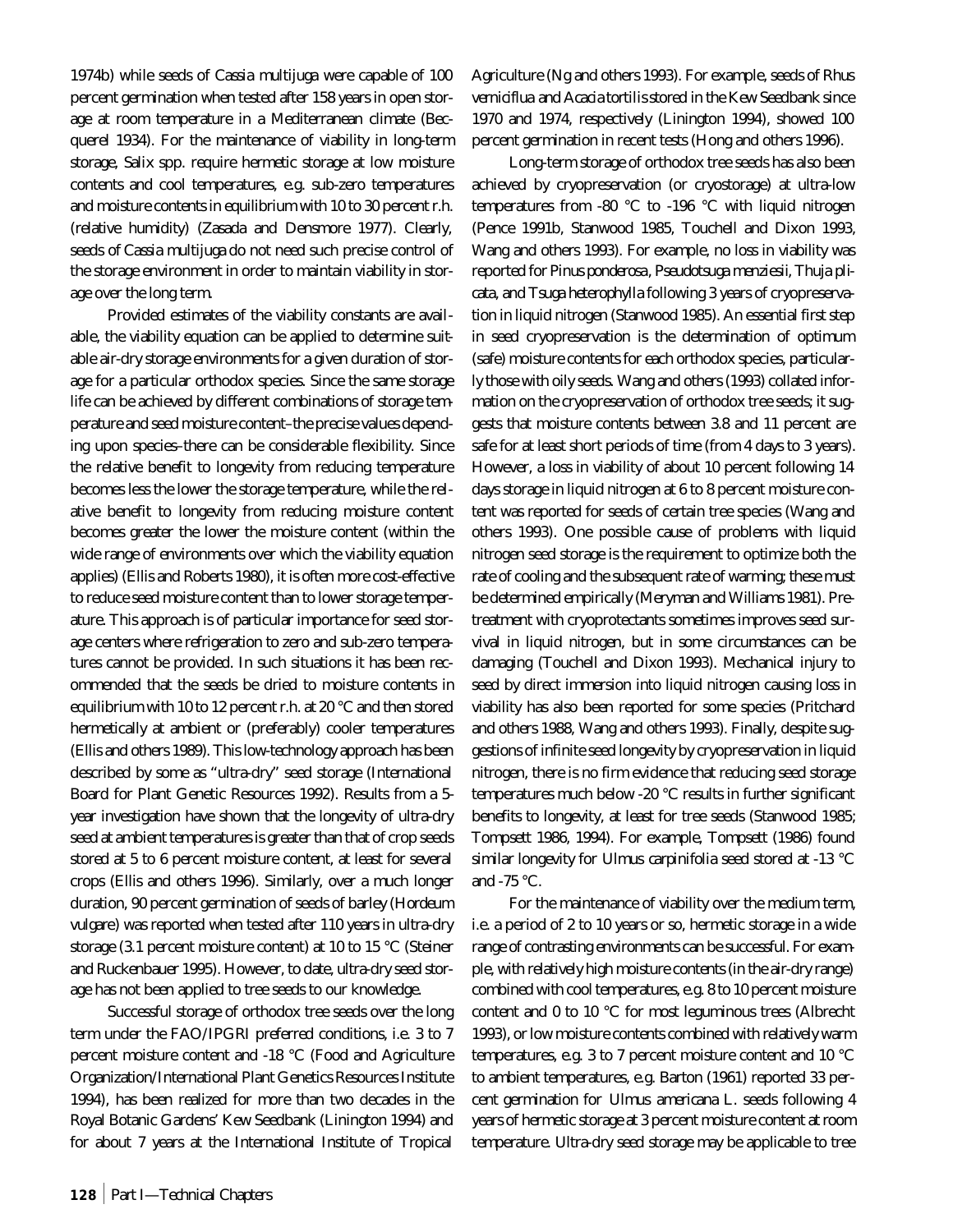1974b) while seeds of *Cassia multijuga* were capable of 100 percent germination when tested after 158 years in open storage at room temperature in a Mediterranean climate (Becquerel 1934). For the maintenance of viability in long-term storage, *Salix* spp. require hermetic storage at low moisture contents and cool temperatures, e.g. sub-zero temperatures and moisture contents in equilibrium with 10 to 30 percent r.h. (relative humidity) (Zasada and Densmore 1977). Clearly, seeds of *Cassia multijuga* do not need such precise control of the storage environment in order to maintain viability in storage over the long term.

Provided estimates of the viability constants are available, the viability equation can be applied to determine suitable air-dry storage environments for a given duration of storage for a particular orthodox species. Since the same storage life can be achieved by different combinations of storage temperature and seed moisture content–the precise values depending upon species–there can be considerable flexibility. Since the relative benefit to longevity from reducing temperature becomes less the lower the storage temperature, while the relative benefit to longevity from reducing moisture content becomes greater the lower the moisture content (within the wide range of environments over which the viability equation applies) (Ellis and Roberts 1980), it is often more cost-effective to reduce seed moisture content than to lower storage temperature. This approach is of particular importance for seed storage centers where refrigeration to zero and sub-zero temperatures cannot be provided. In such situations it has been recommended that the seeds be dried to moisture contents in equilibrium with 10 to 12 percent r.h. at 20 °C and then stored hermetically at ambient or (preferably) cooler temperatures (Ellis and others 1989). This low-technology approach has been described by some as "ultra-dry" seed storage (International Board for Plant Genetic Resources 1992). Results from a 5 year investigation have shown that the longevity of ultra-dry seed at ambient temperatures is greater than that of crop seeds stored at 5 to 6 percent moisture content, at least for several crops (Ellis and others 1996). Similarly, over a much longer duration, 90 percent germination of seeds of barley (*Hordeum vulgare*) was reported when tested after 110 years in ultra-dry storage (3.1 percent moisture content) at 10 to 15 °C (Steiner and Ruckenbauer 1995). However, to date, ultra-dry seed storage has not been applied to tree seeds to our knowledge.

Successful storage of orthodox tree seeds over the long term under the FAO/IPGRI preferred conditions, i.e. 3 to 7 percent moisture content and -18 °C (Food and Agriculture Organization/International Plant Genetics Resources Institute 1994), has been realized for more than two decades in the Royal Botanic Gardens' Kew Seedbank (Linington 1994) and for about 7 years at the International Institute of Tropical

Agriculture (Ng and others 1993). For example, seeds of *Rhus verniciflua* and *Acacia tortilis*stored in the Kew Seedbank since 1970 and 1974, respectively (Linington 1994), showed 100 percent germination in recent tests (Hong and others 1996).

Long-term storage of orthodox tree seeds has also been achieved by cryopreservation (or cryostorage) at ultra-low temperatures from -80 °C to -196 °C with liquid nitrogen (Pence 1991b, Stanwood 1985, Touchell and Dixon 1993, Wang and others 1993). For example, no loss in viability was reported for *Pinus ponderosa*, *Pseudotsuga menziesii*, *Thuja plicata*, and *Tsuga heterophylla* following 3 years of cryopreservation in liquid nitrogen (Stanwood 1985). An essential first step in seed cryopreservation is the determination of optimum (safe) moisture contents for each orthodox species, particularly those with oily seeds. Wang and others (1993) collated information on the cryopreservation of orthodox tree seeds; it suggests that moisture contents between 3.8 and 11 percent are safe for at least short periods of time (from 4 days to 3 years). However, a loss in viability of about 10 percent following 14 days storage in liquid nitrogen at 6 to 8 percent moisture content was reported for seeds of certain tree species (Wang and others 1993). One possible cause of problems with liquid nitrogen seed storage is the requirement to optimize both the rate of cooling and the subsequent rate of warming; these must be determined empirically (Meryman and Williams 1981). Pretreatment with cryoprotectants sometimes improves seed survival in liquid nitrogen, but in some circumstances can be damaging (Touchell and Dixon 1993). Mechanical injury to seed by direct immersion into liquid nitrogen causing loss in viability has also been reported for some species (Pritchard and others 1988, Wang and others 1993). Finally, despite suggestions of infinite seed longevity by cryopreservation in liquid nitrogen, there is no firm evidence that reducing seed storage temperatures much below -20 °C results in further significant benefits to longevity, at least for tree seeds (Stanwood 1985; Tompsett 1986, 1994). For example, Tompsett (1986) found similar longevity for *Ulmus carpinifolia* seed stored at -13 °C and -75 °C.

For the maintenance of viability over the medium term, i.e. a period of 2 to 10 years or so, hermetic storage in a wide range of contrasting environments can be successful. For example, with relatively high moisture contents (in the air-dry range) combined with cool temperatures, e.g. 8 to 10 percent moisture content and 0 to 10 °C for most leguminous trees (Albrecht 1993), or low moisture contents combined with relatively warm temperatures, e.g. 3 to 7 percent moisture content and 10 °C to ambient temperatures, e.g. Barton (1961) reported 33 percent germination for *Ulmus americana* L. seeds following 4 years of hermetic storage at 3 percent moisture content at room temperature. Ultra-dry seed storage may be applicable to tree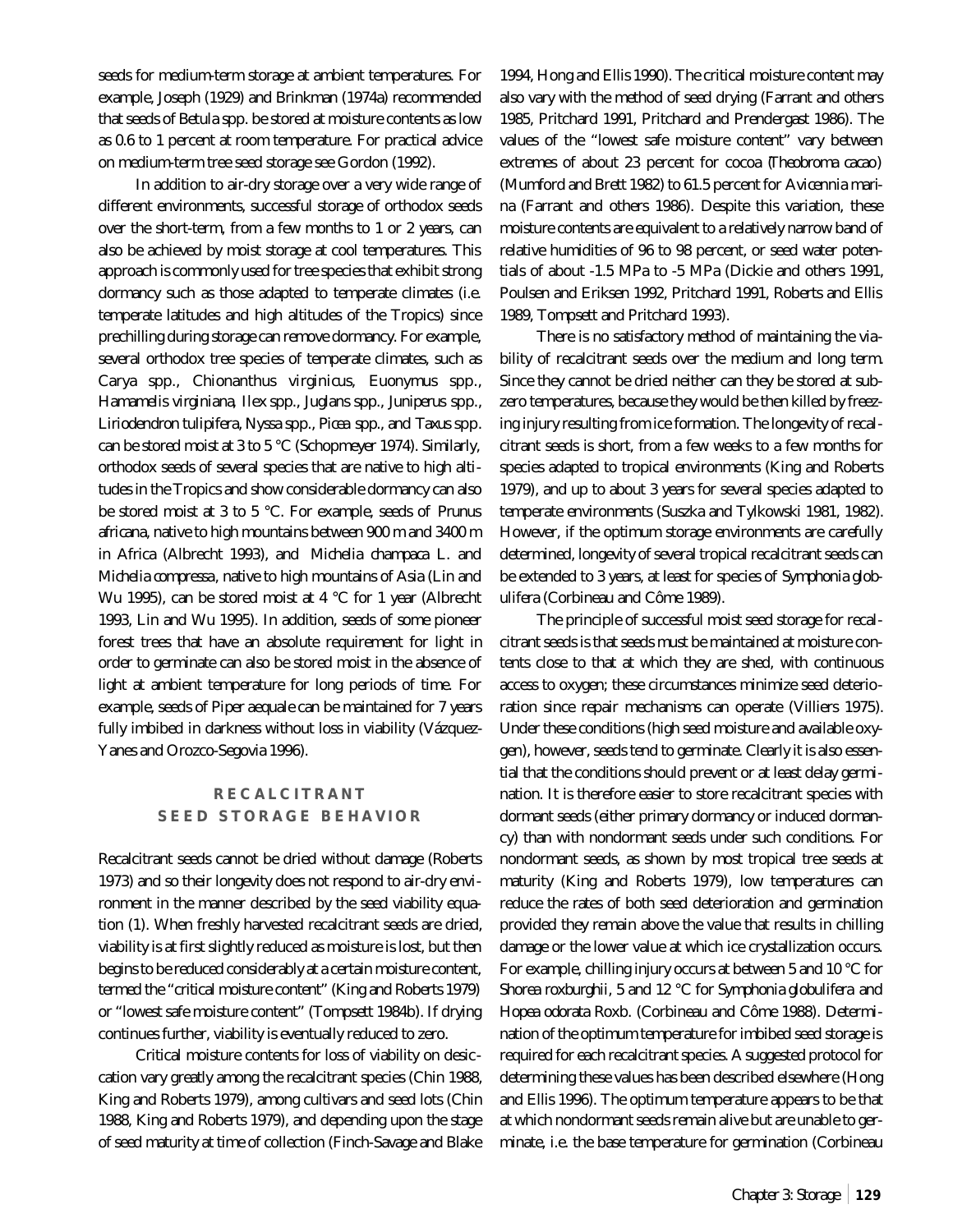seeds for medium-term storage at ambient temperatures. For example, Joseph (1929) and Brinkman (1974a) recommended that seeds of *Betula* spp. be stored at moisture contents as low as 0.6 to 1 percent at room temperature. For practical advice on medium-term tree seed storage see Gordon (1992).

In addition to air-dry storage over a very wide range of different environments, successful storage of orthodox seeds over the short-term, from a few months to 1 or 2 years, can also be achieved by moist storage at cool temperatures. This approach is commonly used for tree species that exhibit strong dormancy such as those adapted to temperate climates (i.e. temperate latitudes and high altitudes of the Tropics) since prechilling during storage can remove dormancy. For example, several orthodox tree species of temperate climates, such as *Carya* spp., *Chionanthus virginicus*, *Euonymus* spp., *Hamamelis virginiana*, *Ilex* spp., *Juglans* spp., *Juniperus* spp., *Liriodendron tulipifera*, *Nyssa* spp., *Picea* spp., and *Taxus* spp. can be stored moist at 3 to 5 °C (Schopmeyer 1974). Similarly, orthodox seeds of several species that are native to high altitudes in the Tropics and show considerable dormancy can also be stored moist at 3 to 5 °C. For example, seeds of *Prunus africana*, native to high mountains between 900 m and 3400 m in Africa (Albrecht 1993), and *Michelia champaca* L. and *Michelia compressa*, native to high mountains of Asia (Lin and Wu 1995), can be stored moist at 4 °C for 1 year (Albrecht 1993, Lin and Wu 1995). In addition, seeds of some pioneer forest trees that have an absolute requirement for light in order to germinate can also be stored moist in the absence of light at ambient temperature for long periods of time. For example, seeds of *Piper aequale* can be maintained for 7 years fully imbibed in darkness without loss in viability (Vázquez-Yanes and Orozco-Segovia 1996).

## **RECALCITRANT SEED STORAGE BEHAVIOR**

Recalcitrant seeds cannot be dried without damage (Roberts 1973) and so their longevity does not respond to air-dry environment in the manner described by the seed viability equation (1). When freshly harvested recalcitrant seeds are dried, viability is at first slightly reduced as moisture is lost, but then begins to be reduced considerably at a certain moisture content, termed the "critical moisture content" (King and Roberts 1979) or "lowest safe moisture content" (Tompsett 1984b). If drying continues further, viability is eventually reduced to zero.

Critical moisture contents for loss of viability on desiccation vary greatly among the recalcitrant species (Chin 1988, King and Roberts 1979), among cultivars and seed lots (Chin 1988, King and Roberts 1979), and depending upon the stage of seed maturity at time of collection (Finch-Savage and Blake

1994, Hong and Ellis 1990). The critical moisture content may also vary with the method of seed drying (Farrant and others 1985, Pritchard 1991, Pritchard and Prendergast 1986). The values of the "lowest safe moisture content" vary between extremes of about 23 percent for cocoa (*Theobroma cacao*) (Mumford and Brett 1982) to 61.5 percent for *Avicennia marina* (Farrant and others 1986). Despite this variation, these moisture contents are equivalent to a relatively narrow band of relative humidities of 96 to 98 percent, or seed water potentials of about -1.5 MPa to -5 MPa (Dickie and others 1991, Poulsen and Eriksen 1992, Pritchard 1991, Roberts and Ellis 1989, Tompsett and Pritchard 1993).

There is no satisfactory method of maintaining the viability of recalcitrant seeds over the medium and long term. Since they cannot be dried neither can they be stored at subzero temperatures, because they would be then killed by freezing injury resulting from ice formation. The longevity of recalcitrant seeds is short, from a few weeks to a few months for species adapted to tropical environments (King and Roberts 1979), and up to about 3 years for several species adapted to temperate environments (Suszka and Tylkowski 1981, 1982). However, if the optimum storage environments are carefully determined, longevity of several tropical recalcitrant seeds can be extended to 3 years, at least for species of *Symphonia globulifera* (Corbineau and Côme 1989).

The principle of successful moist seed storage for recalcitrant seeds is that seeds must be maintained at moisture contents close to that at which they are shed, with continuous access to oxygen; these circumstances minimize seed deterioration since repair mechanisms can operate (Villiers 1975). Under these conditions (high seed moisture and available oxygen), however, seeds tend to germinate. Clearly it is also essential that the conditions should prevent or at least delay germination. It is therefore easier to store recalcitrant species with dormant seeds (either primary dormancy or induced dormancy) than with nondormant seeds under such conditions. For nondormant seeds, as shown by most tropical tree seeds at maturity (King and Roberts 1979), low temperatures can reduce the rates of both seed deterioration and germination provided they remain above the value that results in chilling damage or the lower value at which ice crystallization occurs. For example, chilling injury occurs at between 5 and 10 °C for *Shorea roxburghii*, 5 and 12 °C for *Symphonia globulifera* and *Hopea odorata* Roxb. (Corbineau and Côme 1988). Determination of the optimum temperature for imbibed seed storage is required for each recalcitrant species. A suggested protocol for determining these values has been described elsewhere (Hong and Ellis 1996). The optimum temperature appears to be that at which nondormant seeds remain alive but are unable to germinate, i.e. the base temperature for germination (Corbineau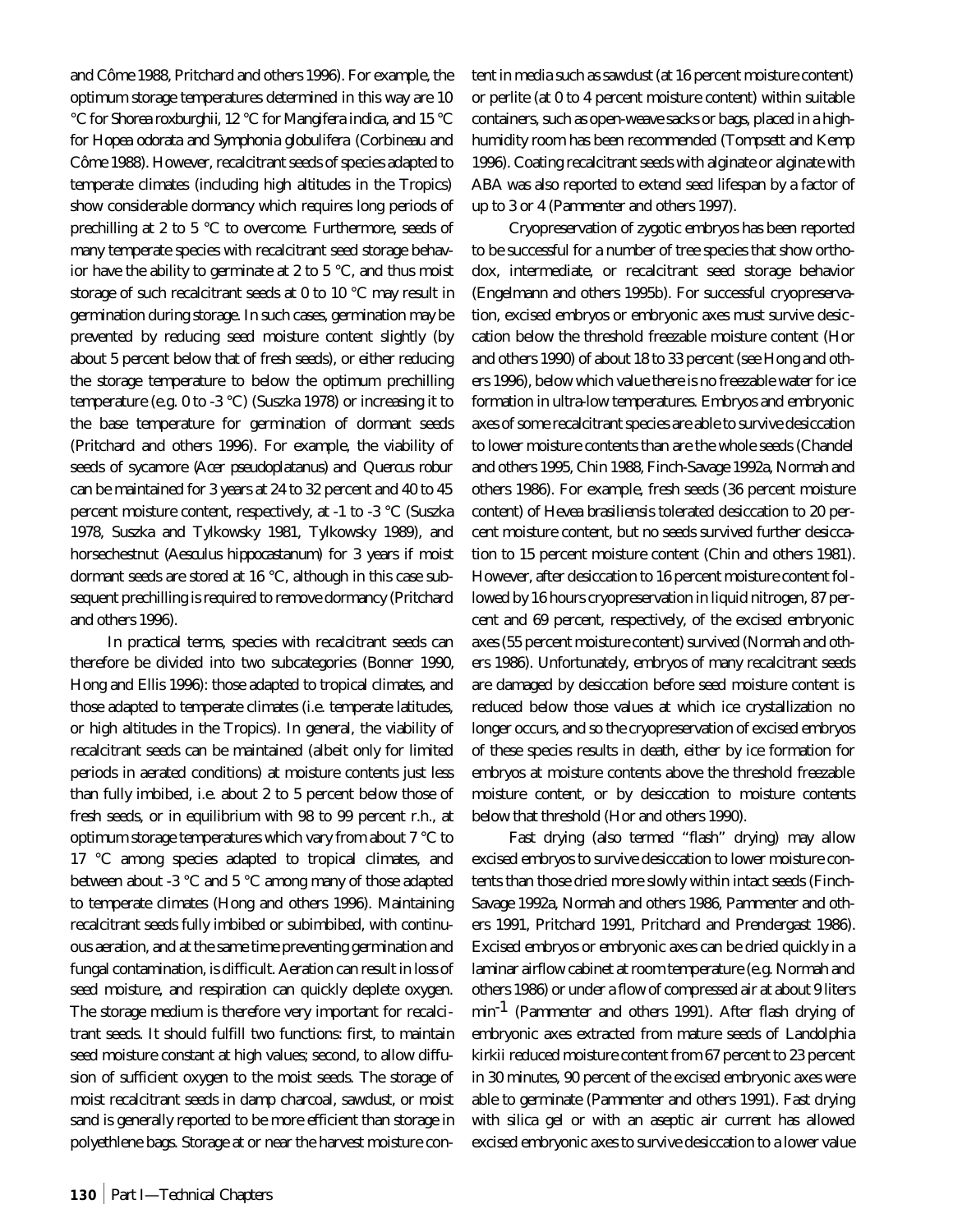and Côme 1988, Pritchard and others 1996). For example, the optimum storage temperatures determined in this way are 10 °C for *Shorea roxburghii*, 12 °C for *Mangifera indica*, and 15 °C for *Hopea odorata* and *Symphonia globulifera* (Corbineau and Côme 1988). However, recalcitrant seeds of species adapted to temperate climates (including high altitudes in the Tropics) show considerable dormancy which requires long periods of prechilling at 2 to 5 °C to overcome. Furthermore, seeds of many temperate species with recalcitrant seed storage behavior have the ability to germinate at 2 to 5 °C, and thus moist storage of such recalcitrant seeds at 0 to 10 °C may result in germination during storage. In such cases, germination may be prevented by reducing seed moisture content slightly (by about 5 percent below that of fresh seeds), or either reducing the storage temperature to below the optimum prechilling temperature (e.g. 0 to -3 °C) (Suszka 1978) or increasing it to the base temperature for germination of dormant seeds (Pritchard and others 1996). For example, the viability of seeds of sycamore (*Acer pseudoplatanus*) and *Quercus robur* can be maintained for 3 years at 24 to 32 percent and 40 to 45 percent moisture content, respectively, at -1 to -3 °C (Suszka 1978, Suszka and Tylkowsky 1981, Tylkowsky 1989), and horsechestnut (*Aesculus hippocastanum*) for 3 years if moist dormant seeds are stored at 16 °C, although in this case subsequent prechilling is required to remove dormancy (Pritchard and others 1996).

In practical terms, species with recalcitrant seeds can therefore be divided into two subcategories (Bonner 1990, Hong and Ellis 1996): those adapted to tropical climates, and those adapted to temperate climates (i.e. temperate latitudes, or high altitudes in the Tropics). In general, the viability of recalcitrant seeds can be maintained (albeit only for limited periods in aerated conditions) at moisture contents just less than fully imbibed, i.e. about 2 to 5 percent below those of fresh seeds, or in equilibrium with 98 to 99 percent r.h., at optimum storage temperatures which vary from about 7 °C to 17 °C among species adapted to tropical climates, and between about -3 °C and 5 °C among many of those adapted to temperate climates (Hong and others 1996). Maintaining recalcitrant seeds fully imbibed or subimbibed, with continuous aeration, and at the same time preventing germination and fungal contamination, is difficult. Aeration can result in loss of seed moisture, and respiration can quickly deplete oxygen. The storage medium is therefore very important for recalcitrant seeds. It should fulfill two functions: first, to maintain seed moisture constant at high values; second, to allow diffusion of sufficient oxygen to the moist seeds. The storage of moist recalcitrant seeds in damp charcoal, sawdust, or moist sand is generally reported to be more efficient than storage in polyethlene bags. Storage at or near the harvest moisture content in media such as sawdust (at 16 percent moisture content) or perlite (at 0 to 4 percent moisture content) within suitable containers, such as open-weave sacks or bags, placed in a highhumidity room has been recommended (Tompsett and Kemp 1996). Coating recalcitrant seeds with alginate or alginate with ABA was also reported to extend seed lifespan by a factor of up to 3 or 4 (Pammenter and others 1997).

Cryopreservation of zygotic embryos has been reported to be successful for a number of tree species that show orthodox, intermediate, or recalcitrant seed storage behavior (Engelmann and others 1995b). For successful cryopreservation, excised embryos or embryonic axes must survive desiccation below the threshold freezable moisture content (Hor and others 1990) of about 18 to 33 percent (see Hong and others 1996), below which value there is no freezable water for ice formation in ultra-low temperatures. Embryos and embryonic axes of some recalcitrant species are able to survive desiccation to lower moisture contents than are the whole seeds (Chandel and others 1995, Chin 1988, Finch-Savage 1992a, Normah and others 1986). For example, fresh seeds (36 percent moisture content) of *Hevea brasiliensis* tolerated desiccation to 20 percent moisture content, but no seeds survived further desiccation to 15 percent moisture content (Chin and others 1981). However, after desiccation to 16 percent moisture content followed by 16 hours cryopreservation in liquid nitrogen, 87 percent and 69 percent, respectively, of the excised embryonic axes (55 percent moisture content) survived (Normah and others 1986). Unfortunately, embryos of many recalcitrant seeds are damaged by desiccation before seed moisture content is reduced below those values at which ice crystallization no longer occurs, and so the cryopreservation of excised embryos of these species results in death, either by ice formation for embryos at moisture contents above the threshold freezable moisture content, or by desiccation to moisture contents below that threshold (Hor and others 1990).

Fast drying (also termed "flash" drying) may allow excised embryos to survive desiccation to lower moisture contents than those dried more slowly within intact seeds (Finch-Savage 1992a, Normah and others 1986, Pammenter and others 1991, Pritchard 1991, Pritchard and Prendergast 1986). Excised embryos or embryonic axes can be dried quickly in a laminar airflow cabinet at room temperature (e.g. Normah and others 1986) or under a flow of compressed air at about 9 liters min-1 (Pammenter and others 1991). After flash drying of embryonic axes extracted from mature seeds of *Landolphia kirkii* reduced moisture content from 67 percent to 23 percent in 30 minutes, 90 percent of the excised embryonic axes were able to germinate (Pammenter and others 1991). Fast drying with silica gel or with an aseptic air current has allowed excised embryonic axes to survive desiccation to a lower value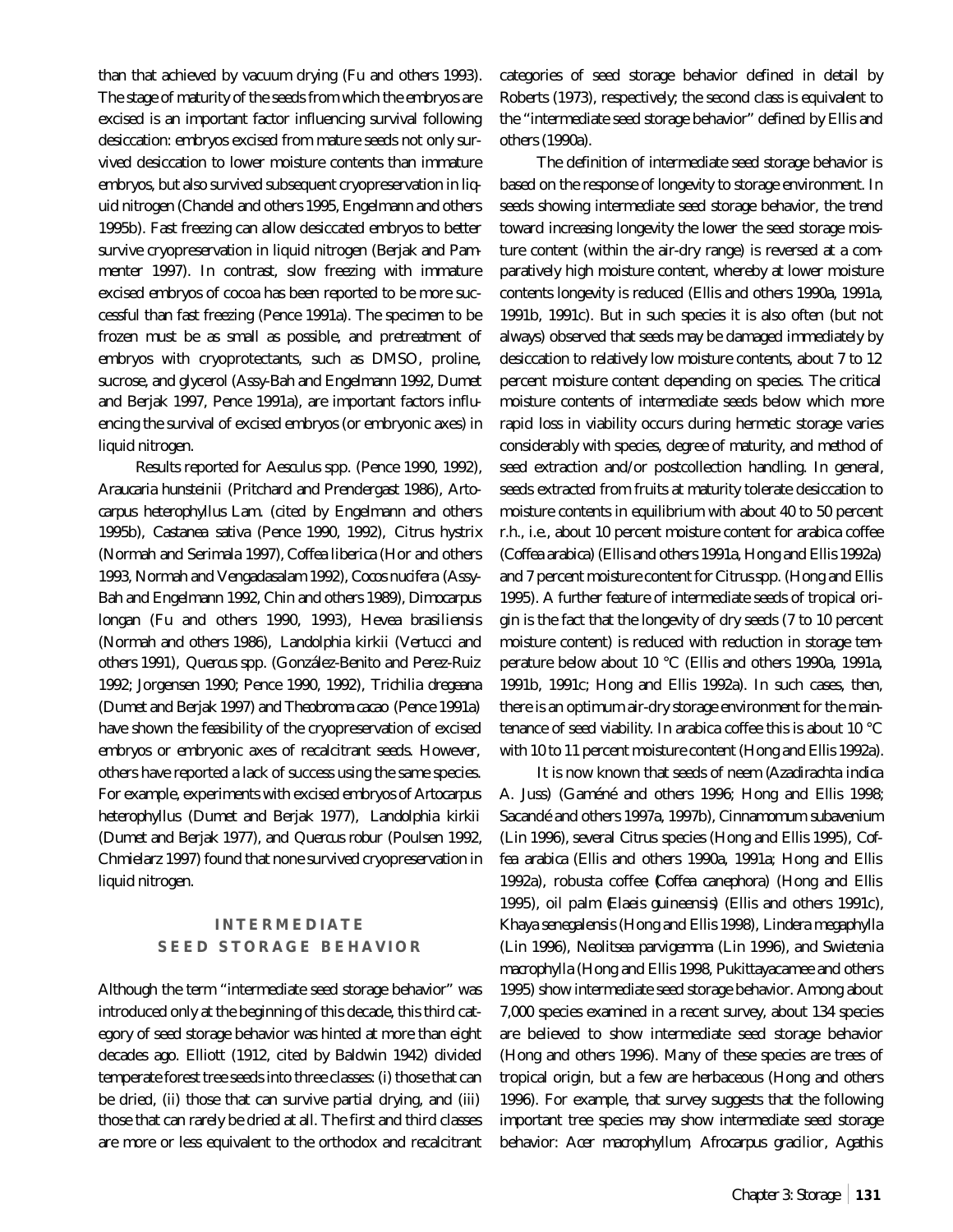than that achieved by vacuum drying (Fu and others 1993). The stage of maturity of the seeds from which the embryos are excised is an important factor influencing survival following desiccation: embryos excised from mature seeds not only survived desiccation to lower moisture contents than immature embryos, but also survived subsequent cryopreservation in liquid nitrogen (Chandel and others 1995, Engelmann and others 1995b). Fast freezing can allow desiccated embryos to better survive cryopreservation in liquid nitrogen (Berjak and Pammenter 1997). In contrast, slow freezing with immature excised embryos of cocoa has been reported to be more successful than fast freezing (Pence 1991a). The specimen to be frozen must be as small as possible, and pretreatment of embryos with cryoprotectants, such as DMSO, proline, sucrose, and glycerol (Assy-Bah and Engelmann 1992, Dumet and Berjak 1997, Pence 1991a), are important factors influencing the survival of excised embryos (or embryonic axes) in liquid nitrogen.

Results reported for *Aesculus* spp. (Pence 1990, 1992), *Araucaria hunsteinii* (Pritchard and Prendergast 1986), *Artocarpus heterophyllus* Lam. (cited by Engelmann and others 1995b), *Castanea sativa* (Pence 1990, 1992), *Citrus hystrix* (Normah and Serimala 1997), *Coffea liberica* (Hor and others 1993, Normah and Vengadasalam 1992), *Cocos nucifera* (Assy-Bah and Engelmann 1992, Chin and others 1989), *Dimocarpus longan* (Fu and others 1990, 1993), *Hevea brasiliensis* (Normah and others 1986), *Landolphia kirkii* (Vertucci and others 1991), *Quercus* spp. (González-Benito and Perez-Ruiz 1992; Jorgensen 1990; Pence 1990, 1992), *Trichilia dregeana* (Dumet and Berjak 1997) and *Theobroma cacao* (Pence 1991a) have shown the feasibility of the cryopreservation of excised embryos or embryonic axes of recalcitrant seeds. However, others have reported a lack of success using the same species. For example, experiments with excised embryos of *Artocarpus heterophyllus* (Dumet and Berjak 1977), *Landolphia kirkii* (Dumet and Berjak 1977), and *Quercus robur* (Poulsen 1992, Chmielarz 1997) found that none survived cryopreservation in liquid nitrogen.

# **INTERMEDIATE SEED STORAGE BEHAVIOR**

Although the term "intermediate seed storage behavior" was introduced only at the beginning of this decade, this third category of seed storage behavior was hinted at more than eight decades ago. Elliott (1912, cited by Baldwin 1942) divided temperate forest tree seeds into three classes: (i) those that can be dried, (ii) those that can survive partial drying, and (iii) those that can rarely be dried at all. The first and third classes are more or less equivalent to the orthodox and recalcitrant categories of seed storage behavior defined in detail by Roberts (1973), respectively; the second class is equivalent to the "intermediate seed storage behavior" defined by Ellis and others (1990a).

The definition of intermediate seed storage behavior is based on the response of longevity to storage environment. In seeds showing intermediate seed storage behavior, the trend toward increasing longevity the lower the seed storage moisture content (within the air-dry range) is reversed at a comparatively high moisture content, whereby at lower moisture contents longevity is reduced (Ellis and others 1990a, 1991a, 1991b, 1991c). But in such species it is also often (but not always) observed that seeds may be damaged immediately by desiccation to relatively low moisture contents, about 7 to 12 percent moisture content depending on species. The critical moisture contents of intermediate seeds below which more rapid loss in viability occurs during hermetic storage varies considerably with species, degree of maturity, and method of seed extraction and/or postcollection handling. In general, seeds extracted from fruits at maturity tolerate desiccation to moisture contents in equilibrium with about 40 to 50 percent r.h., i.e., about 10 percent moisture content for arabica coffee (*Coffea arabica*) (Ellis and others 1991a, Hong and Ellis 1992a) and 7 percent moisture content for *Citrus*spp. (Hong and Ellis 1995). A further feature of intermediate seeds of tropical origin is the fact that the longevity of dry seeds (7 to 10 percent moisture content) is reduced with reduction in storage temperature below about 10 °C (Ellis and others 1990a, 1991a, 1991b, 1991c; Hong and Ellis 1992a). In such cases, then, there is an optimum air-dry storage environment for the maintenance of seed viability. In arabica coffee this is about 10 °C with 10 to 11 percent moisture content (Hong and Ellis 1992a).

It is now known that seeds of neem (*Azadirachta indica* A. Juss) (Gaméné and others 1996; Hong and Ellis 1998; Sacandé and others 1997a, 1997b), *Cinnamomum subavenium* (Lin 1996), several *Citrus* species (Hong and Ellis 1995), *Coffea arabica* (Ellis and others 1990a, 1991a; Hong and Ellis 1992a), robusta coffee (*Coffea canephora*) (Hong and Ellis 1995), oil palm (*Elaeis guineensis*) (Ellis and others 1991c), *Khaya senegalensis* (Hong and Ellis 1998), *Lindera megaphylla* (Lin 1996), *Neolitsea parvigemma* (Lin 1996), and *Swietenia macrophylla* (Hong and Ellis 1998, Pukittayacamee and others 1995) show intermediate seed storage behavior. Among about 7,000 species examined in a recent survey, about 134 species are believed to show intermediate seed storage behavior (Hong and others 1996). Many of these species are trees of tropical origin, but a few are herbaceous (Hong and others 1996). For example, that survey suggests that the following important tree species may show intermediate seed storage behavior: *Acer macrophyllum*, *Afrocarpus gracilior*, *Agathis*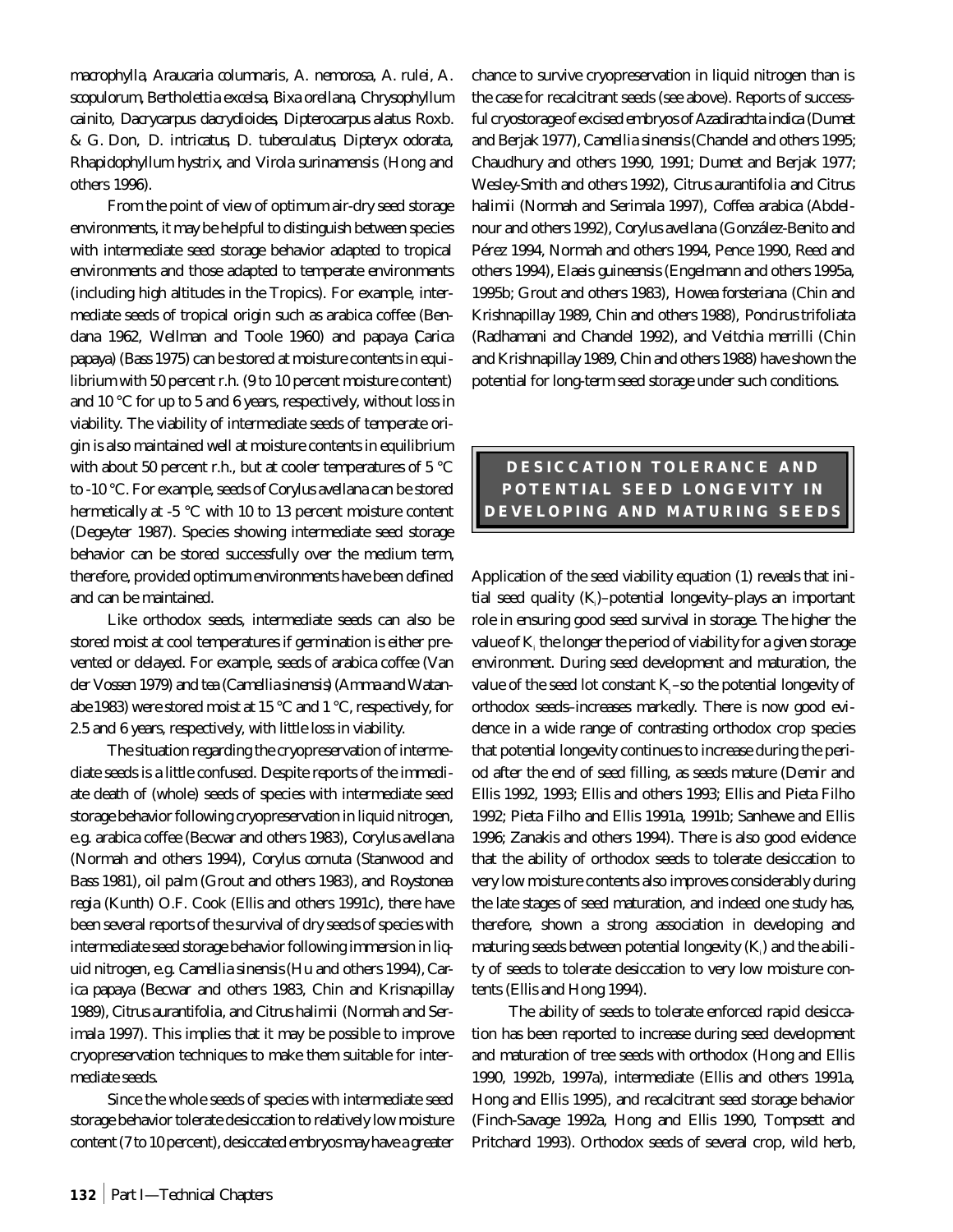*macrophylla*, *Araucaria columnaris*, *A. nemorosa*, *A. rulei*, *A. scopulorum*, *Bertholettia excelsa*, *Bixa orellana*, *Chrysophyllum cainito*, *Dacrycarpus dacrydioides*, *Dipterocarpus alatus* Roxb. & G. Don, *D. intricatus*, *D. tuberculatus*, *Dipteryx odorata*, *Rhapidophyllum hystrix*, and *Virola surinamensis* (Hong and others 1996).

From the point of view of optimum air-dry seed storage environments, it may be helpful to distinguish between species with intermediate seed storage behavior adapted to tropical environments and those adapted to temperate environments (including high altitudes in the Tropics). For example, intermediate seeds of tropical origin such as arabica coffee (Bendana 1962, Wellman and Toole 1960) and papaya (*Carica papaya*) (Bass 1975) can be stored at moisture contents in equilibrium with 50 percent r.h. (9 to 10 percent moisture content) and 10 °C for up to 5 and 6 years, respectively, without loss in viability. The viability of intermediate seeds of temperate origin is also maintained well at moisture contents in equilibrium with about 50 percent r.h., but at cooler temperatures of 5 °C to -10 °C. For example, seeds of *Corylus avellana* can be stored hermetically at -5 °C with 10 to 13 percent moisture content (Degeyter 1987). Species showing intermediate seed storage behavior can be stored successfully over the medium term, therefore, provided optimum environments have been defined and can be maintained.

Like orthodox seeds, intermediate seeds can also be stored moist at cool temperatures if germination is either prevented or delayed. For example, seeds of arabica coffee (Van der Vossen 1979) and tea (*Camellia sinensis*) (Amma and Watanabe 1983) were stored moist at 15 °C and 1 °C, respectively, for 2.5 and 6 years, respectively, with little loss in viability.

The situation regarding the cryopreservation of intermediate seeds is a little confused. Despite reports of the immediate death of (whole) seeds of species with intermediate seed storage behavior following cryopreservation in liquid nitrogen, e.g. arabica coffee (Becwar and others 1983), *Corylus avellana* (Normah and others 1994), *Corylus cornuta* (Stanwood and Bass 1981), oil palm (Grout and others 1983), and *Roystonea regia* (Kunth) O.F. Cook (Ellis and others 1991c), there have been several reports of the survival of dry seeds of species with intermediate seed storage behavior following immersion in liquid nitrogen, e.g. *Camellia sinensis*(Hu and others 1994), *Carica papaya* (Becwar and others 1983, Chin and Krisnapillay 1989), *Citrus aurantifolia*, and *Citrus halimii* (Normah and Serimala 1997). This implies that it may be possible to improve cryopreservation techniques to make them suitable for intermediate seeds.

Since the whole seeds of species with intermediate seed storage behavior tolerate desiccation to relatively low moisture content (7 to 10 percent), desiccated embryos may have a greater chance to survive cryopreservation in liquid nitrogen than is the case for recalcitrant seeds (see above). Reports of successful cryostorage of excised embryos of *Azadirachta indica* (Dumet and Berjak 1977), *Camellia sinensis*(Chandel and others 1995; Chaudhury and others 1990, 1991; Dumet and Berjak 1977; Wesley-Smith and others 1992), *Citrus aurantifolia* and *Citrus halimii* (Normah and Serimala 1997), *Coffea arabica* (Abdelnour and others 1992), *Corylus avellana* (González-Benito and Pérez 1994, Normah and others 1994, Pence 1990, Reed and others 1994), *Elaeis guineensis* (Engelmann and others 1995a, 1995b; Grout and others 1983), *Howea forsteriana* (Chin and Krishnapillay 1989, Chin and others 1988), *Poncirus trifoliata* (Radhamani and Chandel 1992), and *Veitchia merrilli* (Chin and Krishnapillay 1989, Chin and others 1988) have shown the potential for long-term seed storage under such conditions.

# **DESICCATION TOLERANCE AND POTENTIAL SEED LONGEVITY IN DEVELOPING AND MATURING SEEDS**

Application of the seed viability equation (1) reveals that initial seed quality (K,)–potential longevity–plays an important role in ensuring good seed survival in storage. The higher the value of  $\mathbf{K}_{\text{\tiny{i}}}$  the longer the period of viability for a given storage environment. During seed development and maturation, the value of the seed lot constant  $K<sub>i</sub>$ –so the potential longevity of orthodox seeds–increases markedly. There is now good evidence in a wide range of contrasting orthodox crop species that potential longevity continues to increase during the period after the end of seed filling, as seeds mature (Demir and Ellis 1992, 1993; Ellis and others 1993; Ellis and Pieta Filho 1992; Pieta Filho and Ellis 1991a, 1991b; Sanhewe and Ellis 1996; Zanakis and others 1994). There is also good evidence that the ability of orthodox seeds to tolerate desiccation to very low moisture contents also improves considerably during the late stages of seed maturation, and indeed one study has, therefore, shown a strong association in developing and maturing seeds between potential longevity  $\left(\mathbf{K}_{i}\right)$  and the ability of seeds to tolerate desiccation to very low moisture contents (Ellis and Hong 1994).

The ability of seeds to tolerate enforced rapid desiccation has been reported to increase during seed development and maturation of tree seeds with orthodox (Hong and Ellis 1990, 1992b, 1997a), intermediate (Ellis and others 1991a, Hong and Ellis 1995), and recalcitrant seed storage behavior (Finch-Savage 1992a, Hong and Ellis 1990, Tompsett and Pritchard 1993). Orthodox seeds of several crop, wild herb,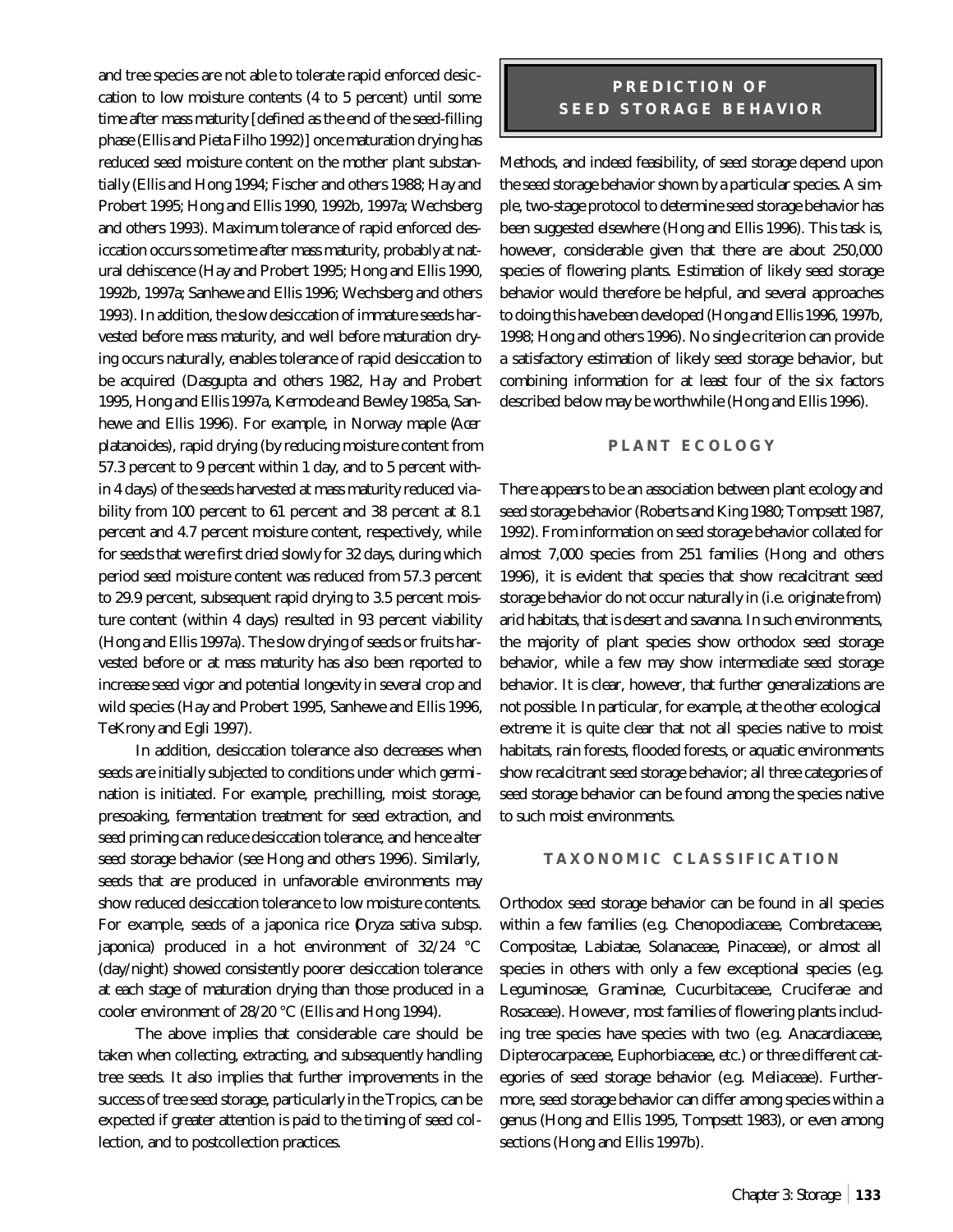and tree species are not able to tolerate rapid enforced desiccation to low moisture contents (4 to 5 percent) until some time after mass maturity [defined as the end of the seed-filling phase (Ellis and Pieta Filho 1992)] once maturation drying has reduced seed moisture content on the mother plant substantially (Ellis and Hong 1994; Fischer and others 1988; Hay and Probert 1995; Hong and Ellis 1990, 1992b, 1997a; Wechsberg and others 1993). Maximum tolerance of rapid enforced desiccation occurs some time after mass maturity, probably at natural dehiscence (Hay and Probert 1995; Hong and Ellis 1990, 1992b, 1997a; Sanhewe and Ellis 1996; Wechsberg and others 1993). In addition, the slow desiccation of immature seeds harvested before mass maturity, and well before maturation drying occurs naturally, enables tolerance of rapid desiccation to be acquired (Dasgupta and others 1982, Hay and Probert 1995, Hong and Ellis 1997a, Kermode and Bewley 1985a, Sanhewe and Ellis 1996). For example, in Norway maple (*Acer platanoides*), rapid drying (by reducing moisture content from 57.3 percent to 9 percent within 1 day, and to 5 percent within 4 days) of the seeds harvested at mass maturity reduced viability from 100 percent to 61 percent and 38 percent at 8.1 percent and 4.7 percent moisture content, respectively, while for seeds that were first dried slowly for 32 days, during which period seed moisture content was reduced from 57.3 percent to 29.9 percent, subsequent rapid drying to 3.5 percent moisture content (within 4 days) resulted in 93 percent viability (Hong and Ellis 1997a). The slow drying of seeds or fruits harvested before or at mass maturity has also been reported to increase seed vigor and potential longevity in several crop and wild species (Hay and Probert 1995, Sanhewe and Ellis 1996, TeKrony and Egli 1997).

In addition, desiccation tolerance also decreases when seeds are initially subjected to conditions under which germination is initiated. For example, prechilling, moist storage, presoaking, fermentation treatment for seed extraction, and seed priming can reduce desiccation tolerance, and hence alter seed storage behavior (see Hong and others 1996). Similarly, seeds that are produced in unfavorable environments may show reduced desiccation tolerance to low moisture contents. For example, seeds of a japonica rice (*Oryza sativa* subsp. *japonica*) produced in a hot environment of 32/24 °C (day/night) showed consistently poorer desiccation tolerance at each stage of maturation drying than those produced in a cooler environment of 28/20 °C (Ellis and Hong 1994).

The above implies that considerable care should be taken when collecting, extracting, and subsequently handling tree seeds. It also implies that further improvements in the success of tree seed storage, particularly in the Tropics, can be expected if greater attention is paid to the timing of seed collection, and to postcollection practices.

### **PREDICTION OF SEED STORAGE BEHAVIOR**

Methods, and indeed feasibility, of seed storage depend upon the seed storage behavior shown by a particular species. A simple, two-stage protocol to determine seed storage behavior has been suggested elsewhere (Hong and Ellis 1996). This task is, however, considerable given that there are about 250,000 species of flowering plants. Estimation of likely seed storage behavior would therefore be helpful, and several approaches to doing this have been developed (Hong and Ellis 1996, 1997b, 1998; Hong and others 1996). No single criterion can provide a satisfactory estimation of likely seed storage behavior, but combining information for at least four of the six factors described below may be worthwhile (Hong and Ellis 1996).

#### **PLANT ECOLOGY**

There appears to be an association between plant ecology and seed storage behavior (Roberts and King 1980; Tompsett 1987, 1992). From information on seed storage behavior collated for almost 7,000 species from 251 families (Hong and others 1996), it is evident that species that show recalcitrant seed storage behavior do not occur naturally in (i.e. originate from) arid habitats, that is desert and savanna. In such environments, the majority of plant species show orthodox seed storage behavior, while a few may show intermediate seed storage behavior. It is clear, however, that further generalizations are not possible. In particular, for example, at the other ecological extreme it is quite clear that not all species native to moist habitats, rain forests, flooded forests, or aquatic environments show recalcitrant seed storage behavior; all three categories of seed storage behavior can be found among the species native to such moist environments.

#### **TAXONOMIC CLASSIFICATION**

Orthodox seed storage behavior can be found in all species within a few families (e.g. Chenopodiaceae, Combretaceae, Compositae, Labiatae, Solanaceae, Pinaceae), or almost all species in others with only a few exceptional species (e.g. Leguminosae, Graminae, Cucurbitaceae, Cruciferae and Rosaceae). However, most families of flowering plants including tree species have species with two (e.g. Anacardiaceae, Dipterocarpaceae, Euphorbiaceae, etc.) or three different categories of seed storage behavior (e.g. Meliaceae). Furthermore, seed storage behavior can differ among species within a genus (Hong and Ellis 1995, Tompsett 1983), or even among sections (Hong and Ellis 1997b).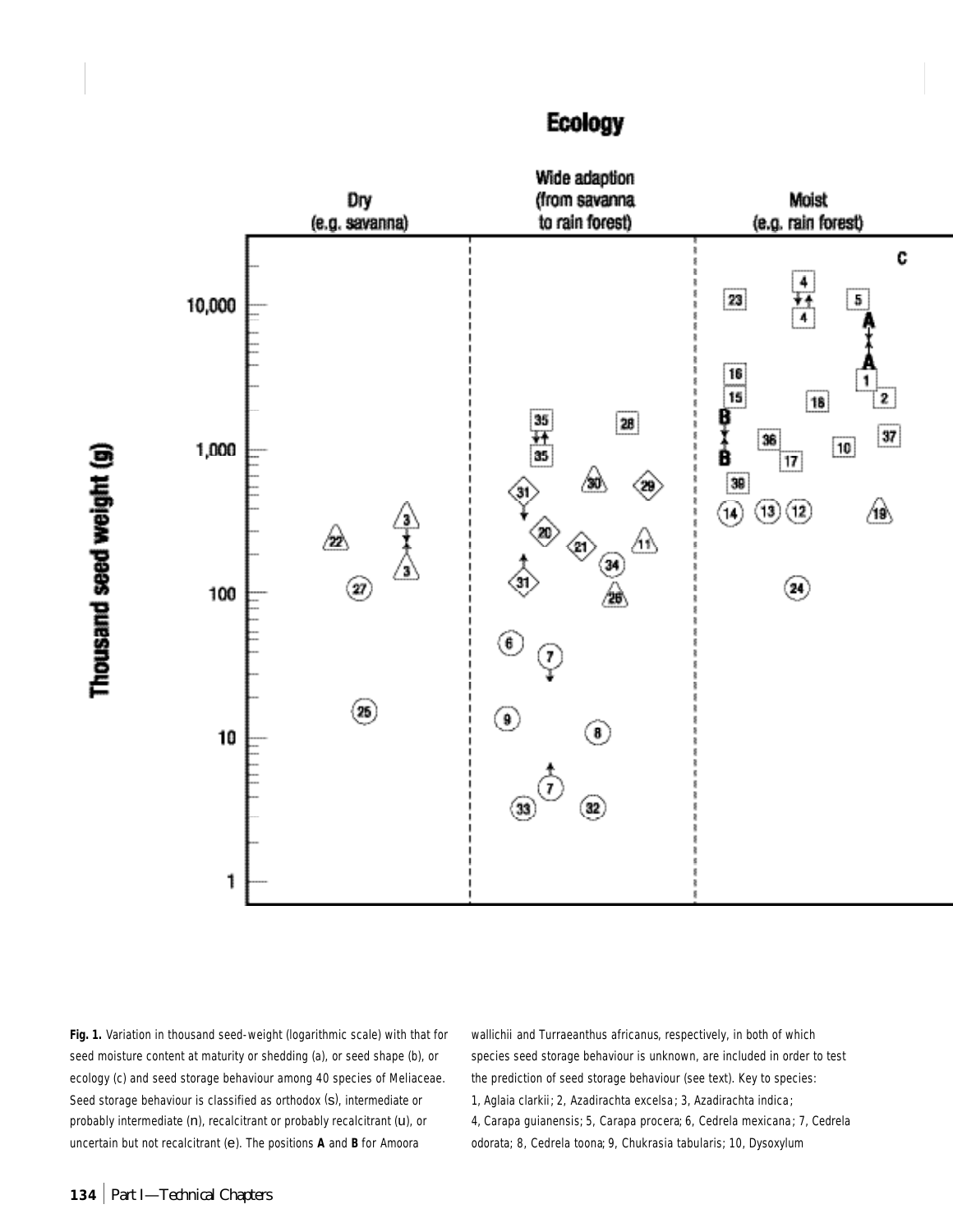



**Fig. 1.** Variation in thousand seed-weight (logarithmic scale) with that for seed moisture content at maturity or shedding (a), or seed shape (b), or ecology (c) and seed storage behaviour among 40 species of Meliaceae. Seed storage behaviour is classified as orthodox (s), intermediate or probably intermediate (n), recalcitrant or probably recalcitrant (u), or uncertain but not recalcitrant (e). The positions **A** and **B** for *Amoora*

*wallichii* and *Turraeanthus africanus*, respectively, in both of which species seed storage behaviour is unknown, are included in order to test the prediction of seed storage behaviour (see text). Key to species: 1, *Aglaia clarkii*; 2, *Azadirachta excelsa* ; 3, *Azadirachta indica* ; 4, *Carapa guianensis*; 5, *Carapa procera*; 6, *Cedrela mexicana* ; 7, *Cedrela odorata*; 8, *Cedrela toona*; 9, *Chukrasia tabularis*; 10, *Dysoxylum*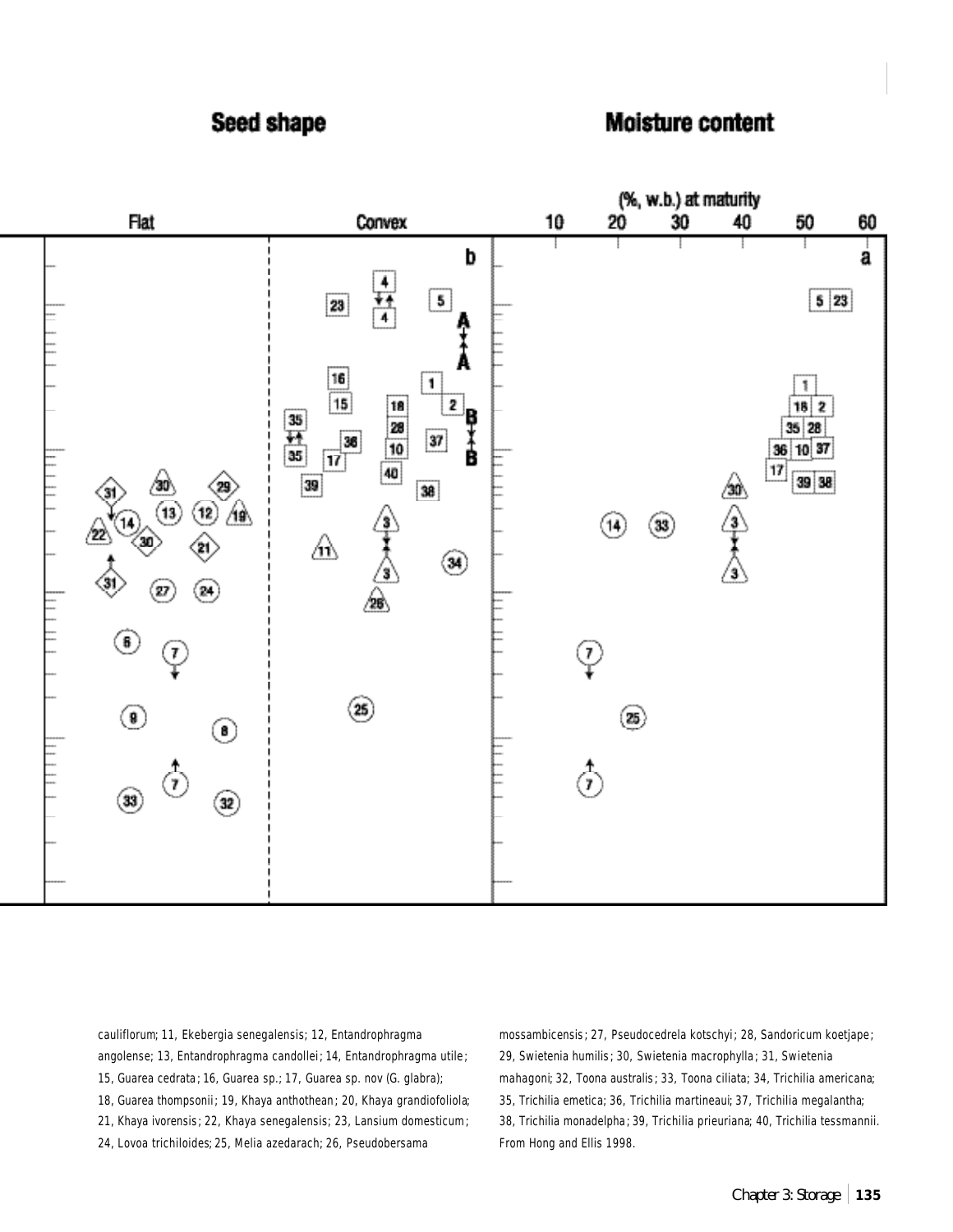# Seed shape

# Moisture content



*cauliflorum*; 11, *Ekebergia senegalensis*; 12, *Entandrophragma angolense*; 13, *Entandrophragma candollei* ; 14, *Entandrophragma utile* ; 15, *Guarea cedrata* ; 16, *Guarea sp.*; 17, *Guarea sp. nov (G. glabra)*; 18, *Guarea thompsonii* ; 19, *Khaya anthothean* ; 20, *Khaya grandiofoliola*; 21, *Khaya ivorensis* ; 22, *Khaya senegalensis*; 23, *Lansium domesticum*; 24, *Lovoa trichiloides*; 25, *Melia azedarach*; 26, *Pseudobersama*

*mossambicensis* ; 27, *Pseudocedrela kotschyi* ; 28, *Sandoricum koetjape* ; 29, *Swietenia humilis* ; 30, *Swietenia macrophylla* ; 31, *Swietenia mahagoni*; 32, *Toona australis* ; 33, *Toona ciliata*; 34, *Trichilia americana*; 35, *Trichilia emetica*; 36, *Trichilia martineaui*; 37, *Trichilia megalantha*; 38, *Trichilia monadelpha* ; 39, *Trichilia prieuriana*; 40, *Trichilia tessmannii*. From Hong and Ellis 1998.